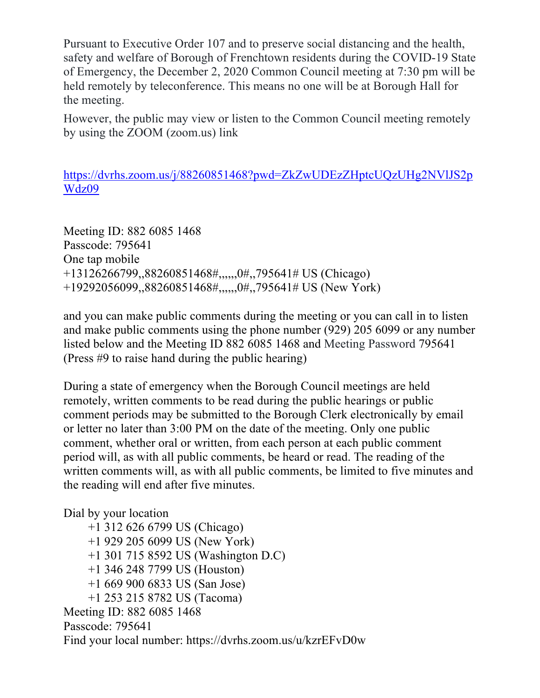Pursuant to Executive Order 107 and to preserve social distancing and the health, safety and welfare of Borough of Frenchtown residents during the COVID-19 State of Emergency, the December 2, 2020 Common Council meeting at 7:30 pm will be held remotely by teleconference. This means no one will be at Borough Hall for the meeting.

However, the public may view or listen to the Common Council meeting remotely by using the ZOOM (zoom.us) link

https://dvrhs.zoom.us/j/88260851468?pwd=ZkZwUDEzZHptcUQzUHg2NVlJS2p Wdz09

Meeting ID: 882 6085 1468 Passcode: 795641 One tap mobile +13126266799,,88260851468#,,,,,,0#,,795641# US (Chicago) +19292056099,,88260851468#,,,,,,0#,,795641# US (New York)

and you can make public comments during the meeting or you can call in to listen and make public comments using the phone number (929) 205 6099 or any number listed below and the Meeting ID 882 6085 1468 and Meeting Password 795641 (Press #9 to raise hand during the public hearing)

During a state of emergency when the Borough Council meetings are held remotely, written comments to be read during the public hearings or public comment periods may be submitted to the Borough Clerk electronically by email or letter no later than 3:00 PM on the date of the meeting. Only one public comment, whether oral or written, from each person at each public comment period will, as with all public comments, be heard or read. The reading of the written comments will, as with all public comments, be limited to five minutes and the reading will end after five minutes.

Dial by your location

 +1 312 626 6799 US (Chicago) +1 929 205 6099 US (New York) +1 301 715 8592 US (Washington D.C) +1 346 248 7799 US (Houston) +1 669 900 6833 US (San Jose) +1 253 215 8782 US (Tacoma) Meeting ID: 882 6085 1468 Passcode: 795641 Find your local number: https://dvrhs.zoom.us/u/kzrEFvD0w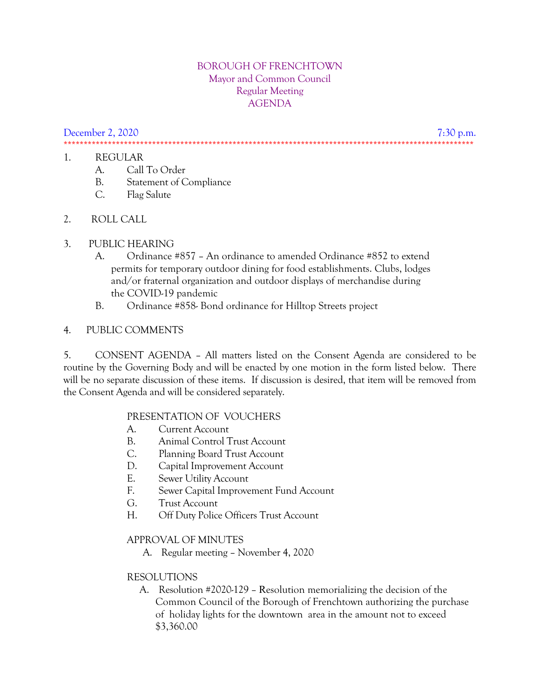#### BOROUGH OF FRENCHTOWN Mayor and Common Council Regular Meeting AGENDA

December 2, 2020 7:30 p.m. \*\*\*\*\*\*\*\*\*\*\*\*\*\*\*\*\*\*\*\*\*\*\*\*\*\*\*\*\*\*\*\*\*\*\*\*\*\*\*\*\*\*\*\*\*\*\*\*\*\*\*\*\*\*\*\*\*\*\*\*\*\*\*\*\*\*\*\*\*\*\*\*\*\*\*\*\*\*\*\*\*\*\*\*\*\*\*\*\*\*\*\*\*\*\*\*\*\*\*\*\*\*

#### 1. REGULAR

- A. Call To Order
- B. Statement of Compliance
- C. Flag Salute
- 2. ROLL CALL

### 3. PUBLIC HEARING

- A. Ordinance #857 An ordinance to amended Ordinance #852 to extend permits for temporary outdoor dining for food establishments. Clubs, lodges and/or fraternal organization and outdoor displays of merchandise during the COVID-19 pandemic
- B. Ordinance #858- Bond ordinance for Hilltop Streets project

## 4. PUBLIC COMMENTS

5. CONSENT AGENDA – All matters listed on the Consent Agenda are considered to be routine by the Governing Body and will be enacted by one motion in the form listed below. There will be no separate discussion of these items. If discussion is desired, that item will be removed from the Consent Agenda and will be considered separately.

### PRESENTATION OF VOUCHERS

- A. Current Account
- B. Animal Control Trust Account
- C. Planning Board Trust Account
- D. Capital Improvement Account
- E. Sewer Utility Account
- F. Sewer Capital Improvement Fund Account
- G. Trust Account
- H. Off Duty Police Officers Trust Account

### APPROVAL OF MINUTES

A. Regular meeting – November 4, 2020

# RESOLUTIONS

A. Resolution #2020-129 – Resolution memorializing the decision of the Common Council of the Borough of Frenchtown authorizing the purchase of holiday lights for the downtown area in the amount not to exceed \$3,360.00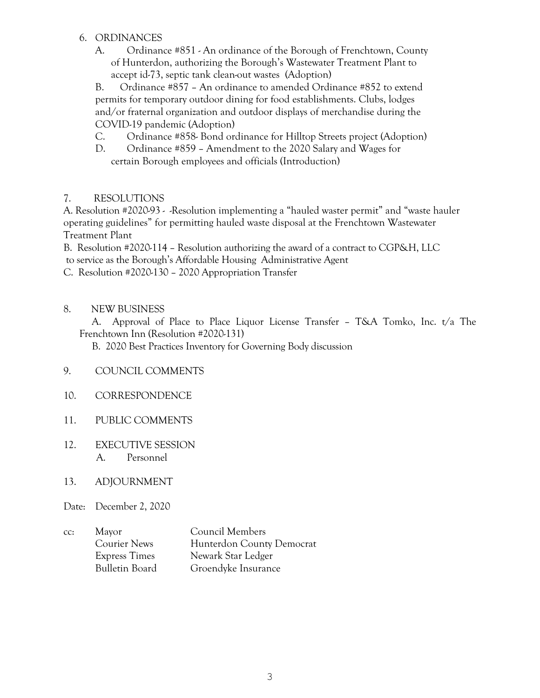### 6. ORDINANCES

A. Ordinance #851 - An ordinance of the Borough of Frenchtown, County of Hunterdon, authorizing the Borough's Wastewater Treatment Plant to accept id-73, septic tank clean-out wastes (Adoption)

B. Ordinance #857 – An ordinance to amended Ordinance #852 to extend permits for temporary outdoor dining for food establishments. Clubs, lodges and/or fraternal organization and outdoor displays of merchandise during the COVID-19 pandemic (Adoption)

- C. Ordinance #858- Bond ordinance for Hilltop Streets project (Adoption)
- D. Ordinance #859 Amendment to the 2020 Salary and Wages for certain Borough employees and officials (Introduction)

## 7. RESOLUTIONS

A. Resolution #2020-93 - -Resolution implementing a "hauled waster permit" and "waste hauler operating guidelines" for permitting hauled waste disposal at the Frenchtown Wastewater Treatment Plant

B. Resolution #2020-114 – Resolution authorizing the award of a contract to CGP&H, LLC to service as the Borough's Affordable Housing Administrative Agent

- C. Resolution #2020-130 2020 Appropriation Transfer
- 8. NEW BUSINESS

 A. Approval of Place to Place Liquor License Transfer – T&A Tomko, Inc. t/a The Frenchtown Inn (Resolution #2020-131)

B. 2020 Best Practices Inventory for Governing Body discussion

- 9. COUNCIL COMMENTS
- 10. CORRESPONDENCE
- 11. PUBLIC COMMENTS
- 12. EXECUTIVE SESSION A. Personnel
- 13. ADJOURNMENT
- Date: December 2, 2020
- cc: Mayor Council Members Courier News Hunterdon County Democrat Express Times Newark Star Ledger Bulletin Board Groendyke Insurance